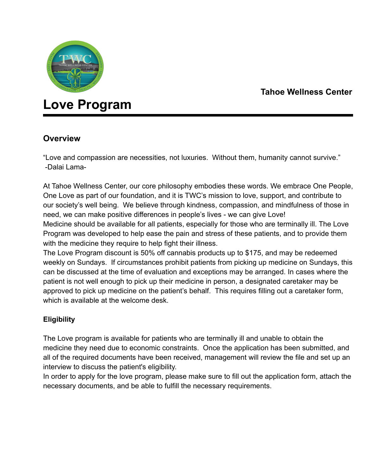

## **Tahoe Wellness Center**

# **Love Program**

### **Overview**

"Love and compassion are necessities, not luxuries. Without them, humanity cannot survive." -Dalai Lama-

At Tahoe Wellness Center, our core philosophy embodies these words. We embrace One People, One Love as part of our foundation, and it is TWC's mission to love, support, and contribute to our society's well being. We believe through kindness, compassion, and mindfulness of those in need, we can make positive differences in people's lives - we can give Love!

Medicine should be available for all patients, especially for those who are terminally ill. The Love Program was developed to help ease the pain and stress of these patients, and to provide them with the medicine they require to help fight their illness.

The Love Program discount is 50% off cannabis products up to \$175, and may be redeemed weekly on Sundays. If circumstances prohibit patients from picking up medicine on Sundays, this can be discussed at the time of evaluation and exceptions may be arranged. In cases where the patient is not well enough to pick up their medicine in person, a designated caretaker may be approved to pick up medicine on the patient's behalf. This requires filling out a caretaker form, which is available at the welcome desk.

#### **Eligibility**

The Love program is available for patients who are terminally ill and unable to obtain the medicine they need due to economic constraints. Once the application has been submitted, and all of the required documents have been received, management will review the file and set up an interview to discuss the patient's eligibility.

In order to apply for the love program, please make sure to fill out the application form, attach the necessary documents, and be able to fulfill the necessary requirements.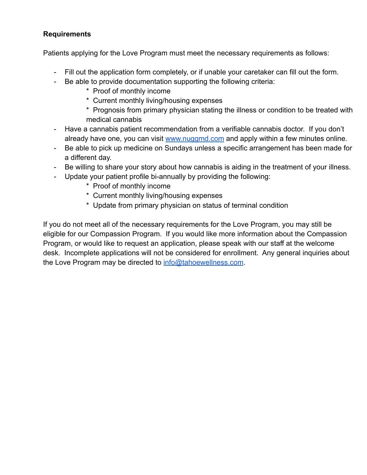#### **Requirements**

Patients applying for the Love Program must meet the necessary requirements as follows:

- Fill out the application form completely, or if unable your caretaker can fill out the form.
- Be able to provide documentation supporting the following criteria:
	- \* Proof of monthly income
	- \* Current monthly living/housing expenses
	- \* Prognosis from primary physician stating the illness or condition to be treated with medical cannabis
- Have a cannabis patient recommendation from a verifiable cannabis doctor. If you don't already have one, you can visit [www.nuggmd.com](http://www.nuggmd.com) and apply within a few minutes online.
- Be able to pick up medicine on Sundays unless a specific arrangement has been made for a different day.
- Be willing to share your story about how cannabis is aiding in the treatment of your illness.
- Update your patient profile bi-annually by providing the following:
	- \* Proof of monthly income
	- \* Current monthly living/housing expenses
	- \* Update from primary physician on status of terminal condition

If you do not meet all of the necessary requirements for the Love Program, you may still be eligible for our Compassion Program. If you would like more information about the Compassion Program, or would like to request an application, please speak with our staff at the welcome desk. Incomplete applications will not be considered for enrollment. Any general inquiries about the Love Program may be directed to [info@tahoewellness.com](mailto:info@tahoewellness.com).